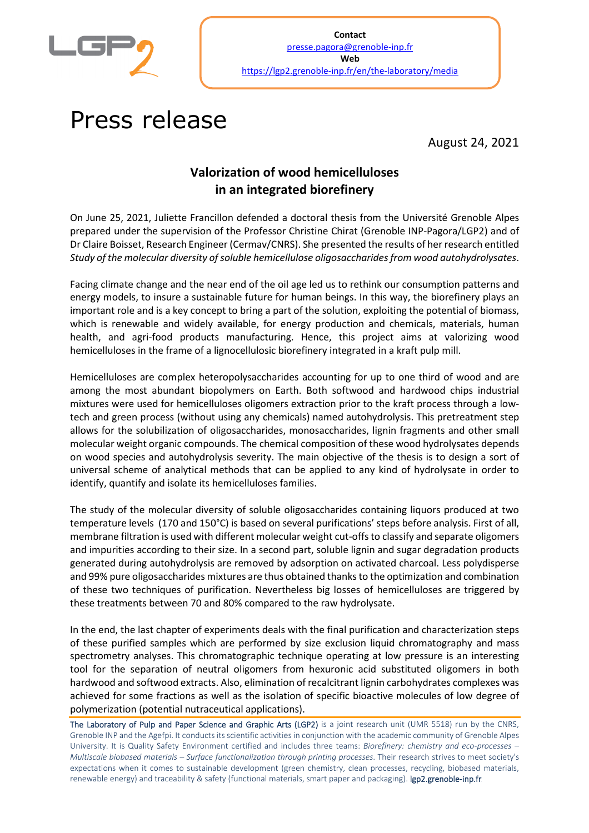

## Press release

August 24, 2021

## **Valorization of wood hemicelluloses in an integrated biorefinery**

On June 25, 2021, Juliette Francillon defended a doctoral thesis from the Université Grenoble Alpes prepared under the supervision of the Professor Christine Chirat (Grenoble INP-Pagora/LGP2) and of Dr Claire Boisset, Research Engineer (Cermav/CNRS). She presented the results of her research entitled *Study of the molecular diversity of soluble hemicellulose oligosaccharides from wood autohydrolysates*.

Facing climate change and the near end of the oil age led us to rethink our consumption patterns and energy models, to insure a sustainable future for human beings. In this way, the biorefinery plays an important role and is a key concept to bring a part of the solution, exploiting the potential of biomass, which is renewable and widely available, for energy production and chemicals, materials, human health, and agri-food products manufacturing. Hence, this project aims at valorizing wood hemicelluloses in the frame of a lignocellulosic biorefinery integrated in a kraft pulp mill.

Hemicelluloses are complex heteropolysaccharides accounting for up to one third of wood and are among the most abundant biopolymers on Earth. Both softwood and hardwood chips industrial mixtures were used for hemicelluloses oligomers extraction prior to the kraft process through a lowtech and green process (without using any chemicals) named autohydrolysis. This pretreatment step allows for the solubilization of oligosaccharides, monosaccharides, lignin fragments and other small molecular weight organic compounds. The chemical composition of these wood hydrolysates depends on wood species and autohydrolysis severity. The main objective of the thesis is to design a sort of universal scheme of analytical methods that can be applied to any kind of hydrolysate in order to identify, quantify and isolate its hemicelluloses families.

The study of the molecular diversity of soluble oligosaccharides containing liquors produced at two temperature levels (170 and 150°C) is based on several purifications' steps before analysis. First of all, membrane filtration is used with different molecular weight cut-offs to classify and separate oligomers and impurities according to their size. In a second part, soluble lignin and sugar degradation products generated during autohydrolysis are removed by adsorption on activated charcoal. Less polydisperse and 99% pure oligosaccharides mixtures are thus obtained thanks to the optimization and combination of these two techniques of purification. Nevertheless big losses of hemicelluloses are triggered by these treatments between 70 and 80% compared to the raw hydrolysate.

In the end, the last chapter of experiments deals with the final purification and characterization steps of these purified samples which are performed by size exclusion liquid chromatography and mass spectrometry analyses. This chromatographic technique operating at low pressure is an interesting tool for the separation of neutral oligomers from hexuronic acid substituted oligomers in both hardwood and softwood extracts. Also, elimination of recalcitrant lignin carbohydrates complexes was achieved for some fractions as well as the isolation of specific bioactive molecules of low degree of polymerization (potential nutraceutical applications).

The Laboratory of Pulp and Paper Science and Graphic Arts (LGP2) is a joint research unit (UMR 5518) run by the CNRS, Grenoble INP and the Agefpi. It conducts its scientific activities in conjunction with the academic community of Grenoble Alpes University. It is Quality Safety Environment certified and includes three teams: *Biorefinery: chemistry and eco-processes – Multiscale biobased materials – Surface functionalization through printing processes*. Their research strives to meet society's expectations when it comes to sustainable development (green chemistry, clean processes, recycling, biobased materials, renewable energy) and traceability & safety (functional materials, smart paper and packaging). lgp2.grenoble-inp.fr